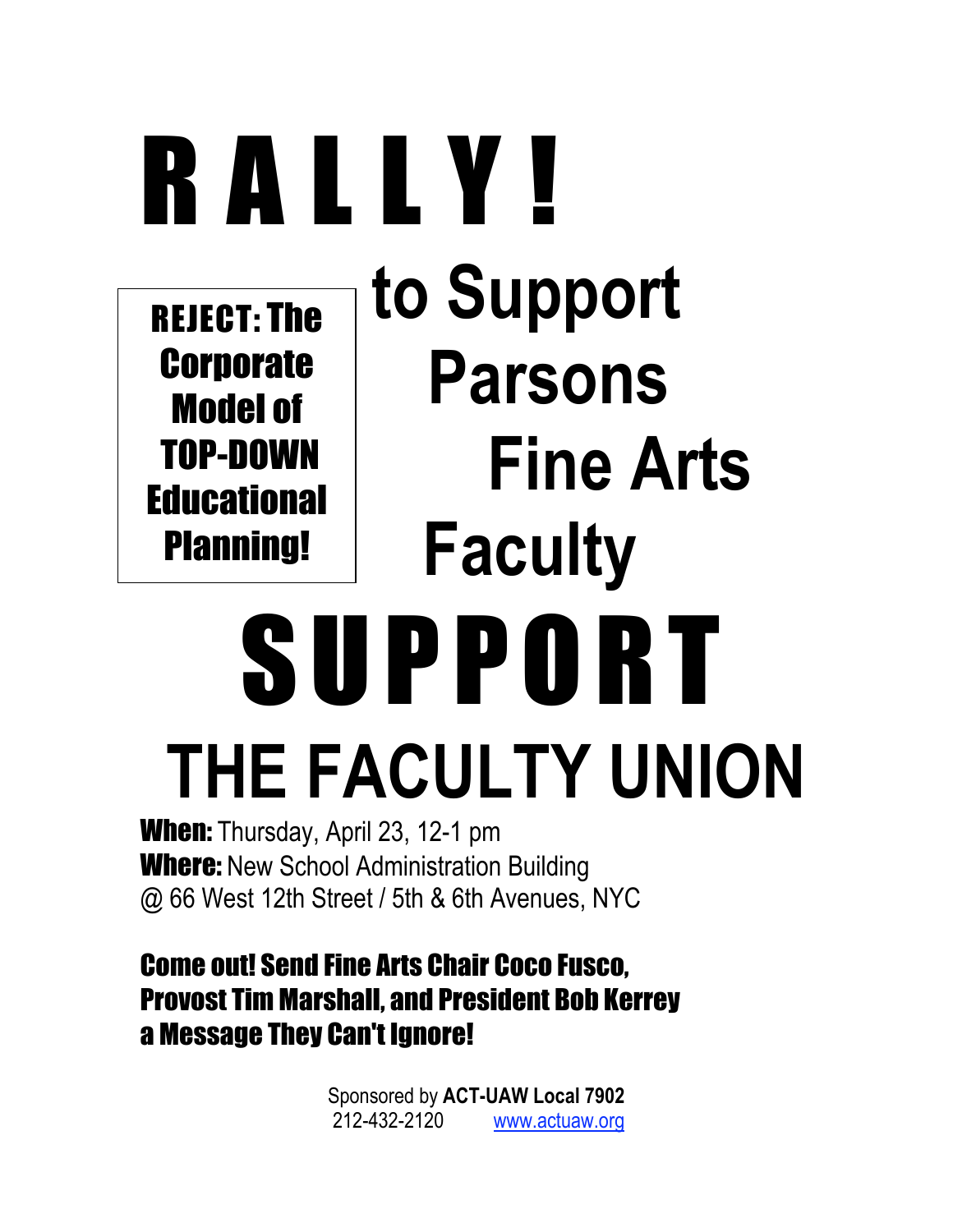## RALLY! **to Support Parsons Fine Arts Faculty** SUPPORT REJECT: The **Corporate** Model of TOP-DOWN **Educational** Planning!

# **THE FACULTY UNION**

When: Thursday, April 23, 12-1 pm **Where:** New School Administration Building @ 66 West 12th Street / 5th & 6th Avenues, NYC

## Come out! Send Fine Arts Chair Coco Fusco, Provost Tim Marshall, and President Bob Kerrey a Message They Can't Ignore!

Sponsored by **ACT-UAW Local 7902** 212-432-2120 www.actuaw.org